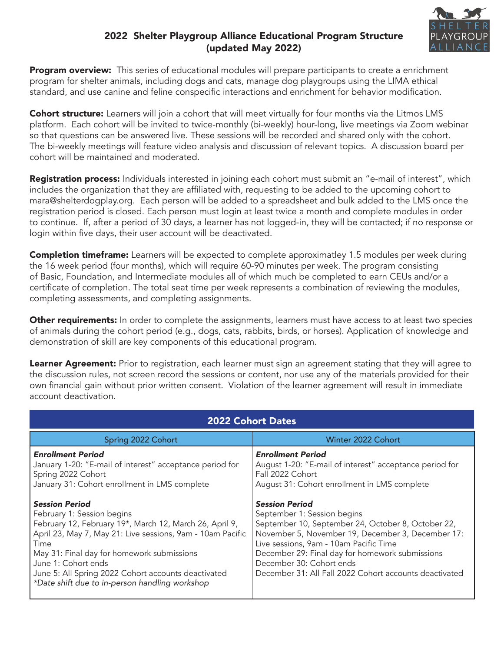# 2022 Shelter Playgroup Alliance Educational Program Structure (updated May 2022)



Program overview: This series of educational modules will prepare participants to create a enrichment program for shelter animals, including dogs and cats, manage dog playgroups using the LIMA ethical standard, and use canine and feline conspecific interactions and enrichment for behavior modification.

Cohort structure: Learners will join a cohort that will meet virtually for four months via the Litmos LMS platform. Each cohort will be invited to twice-monthly (bi-weekly) hour-long, live meetings via Zoom webinar so that questions can be answered live. These sessions will be recorded and shared only with the cohort. The bi-weekly meetings will feature video analysis and discussion of relevant topics. A discussion board per cohort will be maintained and moderated.

Registration process: Individuals interested in joining each cohort must submit an "e-mail of interest", which includes the organization that they are affiliated with, requesting to be added to the upcoming cohort to mara@shelterdogplay.org. Each person will be added to a spreadsheet and bulk added to the LMS once the registration period is closed. Each person must login at least twice a month and complete modules in order to continue. If, after a period of 30 days, a learner has not logged-in, they will be contacted; if no response or login within five days, their user account will be deactivated.

**Completion timeframe:** Learners will be expected to complete approximatley 1.5 modules per week during the 16 week period (four months), which will require 60-90 minutes per week. The program consisting of Basic, Foundation, and Intermediate modules all of which much be completed to earn CEUs and/or a certificate of completion. The total seat time per week represents a combination of reviewing the modules, completing assessments, and completing assignments.

Other requirements: In order to complete the assignments, learners must have access to at least two species of animals during the cohort period (e.g., dogs, cats, rabbits, birds, or horses). Application of knowledge and demonstration of skill are key components of this educational program.

Learner Agreement: Prior to registration, each learner must sign an agreement stating that they will agree to the discussion rules, not screen record the sessions or content, nor use any of the materials provided for their own financial gain without prior written consent. Violation of the learner agreement will result in immediate account deactivation.

| <b>2022 Cohort Dates</b>                                                                                                                                                                                                                                                                                                                                                                                                                                                                                                          |                                                                                                                                                                                                                                                                                                                                                                                                                                                                                                               |  |
|-----------------------------------------------------------------------------------------------------------------------------------------------------------------------------------------------------------------------------------------------------------------------------------------------------------------------------------------------------------------------------------------------------------------------------------------------------------------------------------------------------------------------------------|---------------------------------------------------------------------------------------------------------------------------------------------------------------------------------------------------------------------------------------------------------------------------------------------------------------------------------------------------------------------------------------------------------------------------------------------------------------------------------------------------------------|--|
| Spring 2022 Cohort                                                                                                                                                                                                                                                                                                                                                                                                                                                                                                                | Winter 2022 Cohort                                                                                                                                                                                                                                                                                                                                                                                                                                                                                            |  |
| <b>Enrollment Period</b><br>January 1-20: "E-mail of interest" acceptance period for<br>Spring 2022 Cohort<br>January 31: Cohort enrollment in LMS complete<br><b>Session Period</b><br>February 1: Session begins<br>February 12, February 19*, March 12, March 26, April 9,<br>April 23, May 7, May 21: Live sessions, 9am - 10am Pacific<br>Time<br>May 31: Final day for homework submissions<br>June 1: Cohort ends<br>June 5: All Spring 2022 Cohort accounts deactivated<br>*Date shift due to in-person handling workshop | <b>Enrollment Period</b><br>August 1-20: "E-mail of interest" acceptance period for<br>Fall 2022 Cohort<br>August 31: Cohort enrollment in LMS complete<br><b>Session Period</b><br>September 1: Session begins<br>September 10, September 24, October 8, October 22,<br>November 5, November 19, December 3, December 17:<br>Live sessions, 9am - 10am Pacific Time<br>December 29: Final day for homework submissions<br>December 30: Cohort ends<br>December 31: All Fall 2022 Cohort accounts deactivated |  |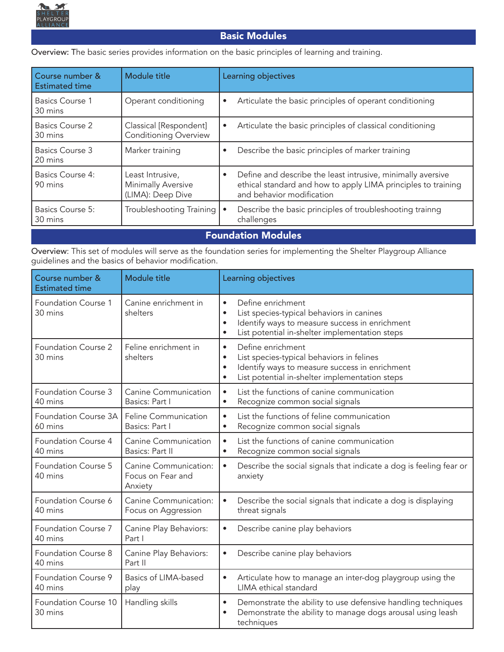

## Basic Modules

Overview: The basic series provides information on the basic principles of learning and training.

| Course number &<br><b>Estimated time</b> | Module title                                                       | Learning objectives                                                                                                                                                    |
|------------------------------------------|--------------------------------------------------------------------|------------------------------------------------------------------------------------------------------------------------------------------------------------------------|
| Basics Course 1<br>30 mins               | Operant conditioning                                               | Articulate the basic principles of operant conditioning<br>$\bullet$                                                                                                   |
| Basics Course 2<br>30 mins               | Classical [Respondent]<br><b>Conditioning Overview</b>             | Articulate the basic principles of classical conditioning<br>$\bullet$                                                                                                 |
| Basics Course 3<br>20 mins               | Marker training                                                    | Describe the basic principles of marker training<br>$\bullet$                                                                                                          |
| <b>Basics Course 4:</b><br>90 mins       | Least Intrusive,<br><b>Minimally Aversive</b><br>(LIMA): Deep Dive | Define and describe the least intrusive, minimally aversive<br>$\bullet$<br>ethical standard and how to apply LIMA principles to training<br>and behavior modification |
| <b>Basics Course 5:</b><br>30 mins       | Troubleshooting Training                                           | Describe the basic principles of troubleshooting trainng<br>challenges                                                                                                 |

#### Foundation Modules

Overview: This set of modules will serve as the foundation series for implementing the Shelter Playgroup Alliance guidelines and the basics of behavior modification.

| Course number &<br><b>Estimated time</b> | Module title                                          | Learning objectives                                                                                                                                                                                                    |
|------------------------------------------|-------------------------------------------------------|------------------------------------------------------------------------------------------------------------------------------------------------------------------------------------------------------------------------|
| Foundation Course 1<br>30 mins           | Canine enrichment in<br>shelters                      | Define enrichment<br>$\bullet$<br>List species-typical behaviors in canines<br>$\bullet$<br>Identify ways to measure success in enrichment<br>$\bullet$<br>List potential in-shelter implementation steps<br>$\bullet$ |
| Foundation Course 2<br>30 mins           | Feline enrichment in<br>shelters                      | Define enrichment<br>$\bullet$<br>List species-typical behaviors in felines<br>$\bullet$<br>Identify ways to measure success in enrichment<br>$\bullet$<br>List potential in-shelter implementation steps<br>$\bullet$ |
| Foundation Course 3<br>40 mins           | Canine Communication<br>Basics: Part I                | List the functions of canine communication<br>$\bullet$<br>Recognize common social signals<br>$\bullet$                                                                                                                |
| Foundation Course 3A<br>60 mins          | Feline Communication<br>Basics: Part I                | List the functions of feline communication<br>$\bullet$<br>Recognize common social signals<br>$\bullet$                                                                                                                |
| Foundation Course 4<br>40 mins           | Canine Communication<br>Basics: Part II               | List the functions of canine communication<br>$\bullet$<br>Recognize common social signals<br>$\bullet$                                                                                                                |
| Foundation Course 5<br>40 mins           | Canine Communication:<br>Focus on Fear and<br>Anxiety | Describe the social signals that indicate a dog is feeling fear or<br>$\bullet$<br>anxiety                                                                                                                             |
| Foundation Course 6<br>40 mins           | Canine Communication:<br>Focus on Aggression          | Describe the social signals that indicate a dog is displaying<br>$\bullet$<br>threat signals                                                                                                                           |
| Foundation Course 7<br>40 mins           | Canine Play Behaviors:<br>Part I                      | Describe canine play behaviors<br>$\bullet$                                                                                                                                                                            |
| Foundation Course 8<br>40 mins           | Canine Play Behaviors:<br>Part II                     | Describe canine play behaviors<br>$\bullet$                                                                                                                                                                            |
| Foundation Course 9<br>40 mins           | Basics of LIMA-based<br>play                          | Articulate how to manage an inter-dog playgroup using the<br>$\bullet$<br>LIMA ethical standard                                                                                                                        |
| Foundation Course 10<br>30 mins          | Handling skills                                       | Demonstrate the ability to use defensive handling techniques<br>$\bullet$<br>Demonstrate the ability to manage dogs arousal using leash<br>$\bullet$<br>techniques                                                     |